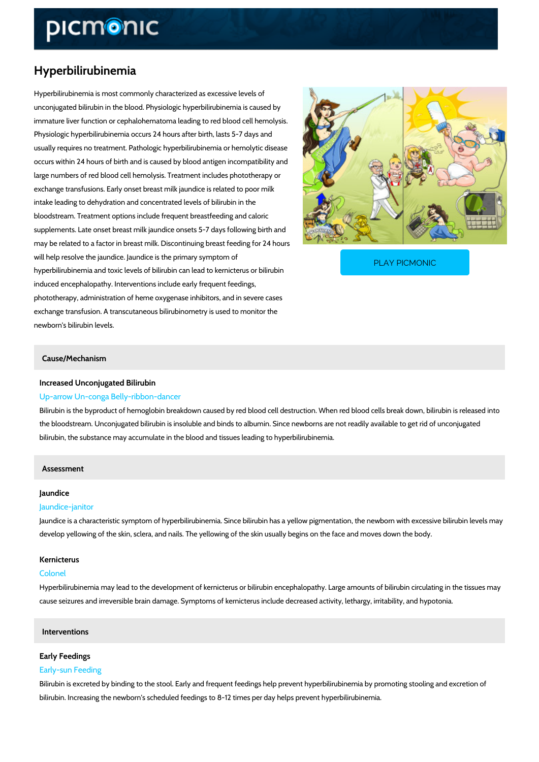# Hyperbilirubinemia

Hyperbilirubinemia is most commonly characterized as excessive levels of unconjugated bilirubin in the blood. Physiologic hyperbilirubinemia is caused by immature liver function or cephalohematoma leading to red blood cell hemolysis. Physiologic hyperbilirubinemia occurs 24 hours after birth, lasts 5-7 days and usually requires no treatment. Pathologic hyperbilirubinemia or hemolytic disease occurs within 24 hours of birth and is caused by blood antigen incompatibility and large numbers of red blood cell hemolysis. Treatment includes phototherapy or exchange transfusions. Early onset breast milk jaundice is related to poor milk intake leading to dehydration and concentrated levels of bilirubin in the bloodstream. Treatment options include frequent breastfeeding and caloric supplements. Late onset breast milk jaundice onsets 5-7 days following birth and may be related to a factor in breast milk. Discontinuing breast feeding for 24 hours will help resolve the jaundice. Jaundice is the primary sy [PLAY PICMONIC](https://www.picmonic.com/learn/hyperbilirubinemia_2278?utm_source=downloadable_content&utm_medium=distributedcontent&utm_campaign=pathways_pdf&utm_content=Hyperbilirubinemia&utm_ad_group=leads&utm_market=all)

hyperbilirubinemia and toxic levels of bilirubin can lead t induced encephalopathy. Interventions include early frequent feedings, phototherapy, administration of heme oxygenase inhibitors, and in severe cases exchange transfusion. A transcutaneous bilirubinometry is used to monitor the newborn's bilirubin levels.

## Cause/Mechanism

# Increased Unconjugated Bilirubin Up-arrow Un-conga Belly-ribbon-dancer

Bilirubin is the byproduct of hemoglobin breakdown caused by red blood cell destruction. Whe the bloodstream. Unconjugated bilirubin is insoluble and binds to albumin. Since newborns are bilirubin, the substance may accumulate in the blood and tissues leading to hyperbilirubinemi

### Assessment

## Jaundice

#### Jaundice-janitor

Jaundice is a characteristic symptom of hyperbilirubinemia. Since bilirubin has a yellow pigme develop yellowing of the skin, sclera, and nails. The yellowing of the skin usually begins on t

## Kernicterus

## Colonel

Hyperbilirubinemia may lead to the development of kernicterus or bilirubin encephalopathy. La cause seizures and irreversible brain damage. Symptoms of kernicterus include decreased act

## Interventions

#### Early Feedings

## Early-sun Feeding

Bilirubin is excreted by binding to the stool. Early and frequent feedings help prevent hyperbi bilirubin. Increasing the newborn's scheduled feedings to 8-12 times per day helps prevent hy